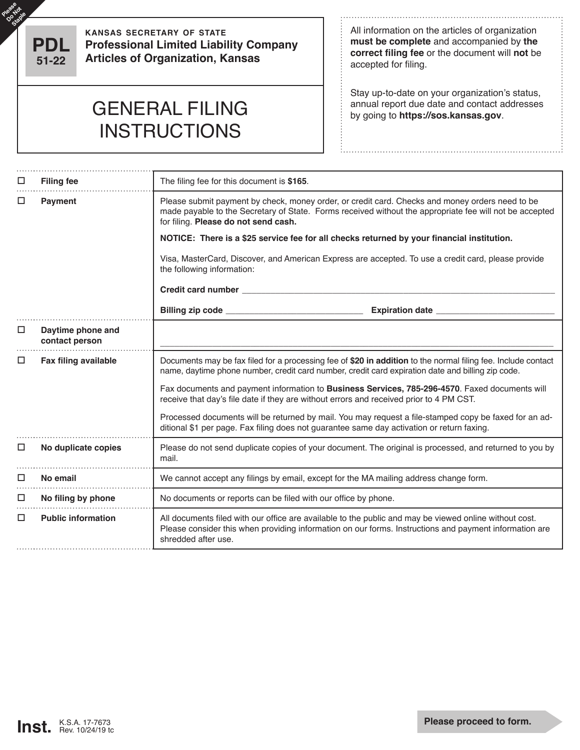

Please Rot

**kansas secretary of state Professional Limited Liability Company Articles of Organization, Kansas**

All information on the articles of organization **must be complete** and accompanied by **the correct filing fee** or the document will **not** be accepted for filing.

Stay up-to-date on your organization's status,

## GENERAL FILING **by going to https://sos.kansas.gov. INSTRUCTIONS**

| □ | <b>Filing fee</b>                   | The filing fee for this document is \$165.                                                                                                                                                                                                         |  |  |  |  |
|---|-------------------------------------|----------------------------------------------------------------------------------------------------------------------------------------------------------------------------------------------------------------------------------------------------|--|--|--|--|
| □ | <b>Payment</b>                      | Please submit payment by check, money order, or credit card. Checks and money orders need to be<br>made payable to the Secretary of State. Forms received without the appropriate fee will not be accepted<br>for filing. Please do not send cash. |  |  |  |  |
|   |                                     | NOTICE: There is a \$25 service fee for all checks returned by your financial institution.                                                                                                                                                         |  |  |  |  |
|   |                                     | Visa, MasterCard, Discover, and American Express are accepted. To use a credit card, please provide<br>the following information:                                                                                                                  |  |  |  |  |
|   |                                     |                                                                                                                                                                                                                                                    |  |  |  |  |
|   |                                     | Expiration date ________________                                                                                                                                                                                                                   |  |  |  |  |
| ⊔ | Daytime phone and<br>contact person |                                                                                                                                                                                                                                                    |  |  |  |  |
| □ | <b>Fax filing available</b>         | Documents may be fax filed for a processing fee of \$20 in addition to the normal filing fee. Include contact<br>name, daytime phone number, credit card number, credit card expiration date and billing zip code.                                 |  |  |  |  |
|   |                                     | Fax documents and payment information to Business Services, 785-296-4570. Faxed documents will<br>receive that day's file date if they are without errors and received prior to 4 PM CST.                                                          |  |  |  |  |
|   |                                     | Processed documents will be returned by mail. You may request a file-stamped copy be faxed for an ad-<br>ditional \$1 per page. Fax filing does not guarantee same day activation or return faxing.                                                |  |  |  |  |
| □ | No duplicate copies                 | Please do not send duplicate copies of your document. The original is processed, and returned to you by<br>mail.                                                                                                                                   |  |  |  |  |
| □ | No email                            | We cannot accept any filings by email, except for the MA mailing address change form.                                                                                                                                                              |  |  |  |  |
| □ | No filing by phone                  | No documents or reports can be filed with our office by phone.                                                                                                                                                                                     |  |  |  |  |
| □ | <b>Public information</b>           | All documents filed with our office are available to the public and may be viewed online without cost.<br>Please consider this when providing information on our forms. Instructions and payment information are<br>shredded after use.            |  |  |  |  |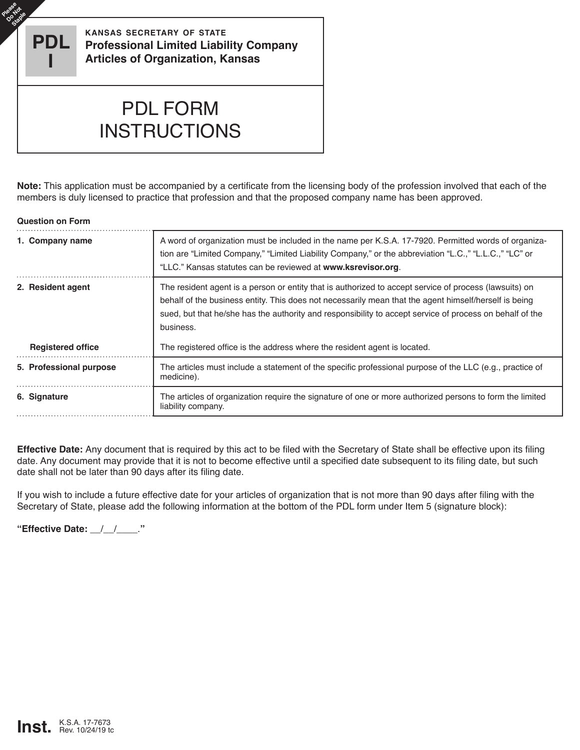**PDL I**

**Please** e<sup>gs</sup>ad **Staple** 

**kansas secretary of state Professional Limited Liability Company Articles of Organization, Kansas**

## PDL FORM **INSTRUCTIONS**

**Note:** This application must be accompanied by a certificate from the licensing body of the profession involved that each of the members is duly licensed to practice that profession and that the proposed company name has been approved.

## **Question on Form**

| 1. Company name          | A word of organization must be included in the name per K.S.A. 17-7920. Permitted words of organiza-<br>tion are "Limited Company," "Limited Liability Company," or the abbreviation "L.C.," "L.L.C.," "LC" or<br>"LLC." Kansas statutes can be reviewed at www.ksrevisor.org.                                                           |  |  |
|--------------------------|------------------------------------------------------------------------------------------------------------------------------------------------------------------------------------------------------------------------------------------------------------------------------------------------------------------------------------------|--|--|
| 2. Resident agent        | The resident agent is a person or entity that is authorized to accept service of process (lawsuits) on<br>behalf of the business entity. This does not necessarily mean that the agent himself/herself is being<br>sued, but that he/she has the authority and responsibility to accept service of process on behalf of the<br>business. |  |  |
| <b>Registered office</b> | The registered office is the address where the resident agent is located.                                                                                                                                                                                                                                                                |  |  |
| 5. Professional purpose  | The articles must include a statement of the specific professional purpose of the LLC (e.g., practice of<br>medicine).                                                                                                                                                                                                                   |  |  |
| 6. Signature             | The articles of organization require the signature of one or more authorized persons to form the limited<br>liability company.                                                                                                                                                                                                           |  |  |

**Effective Date:** Any document that is required by this act to be filed with the Secretary of State shall be effective upon its filing date. Any document may provide that it is not to become effective until a specified date subsequent to its filing date, but such date shall not be later than 90 days after its filing date.

If you wish to include a future effective date for your articles of organization that is not more than 90 days after filing with the Secretary of State, please add the following information at the bottom of the PDL form under Item 5 (signature block):

**"Effective Date:** \_\_/\_\_/\_\_\_\_.**"**